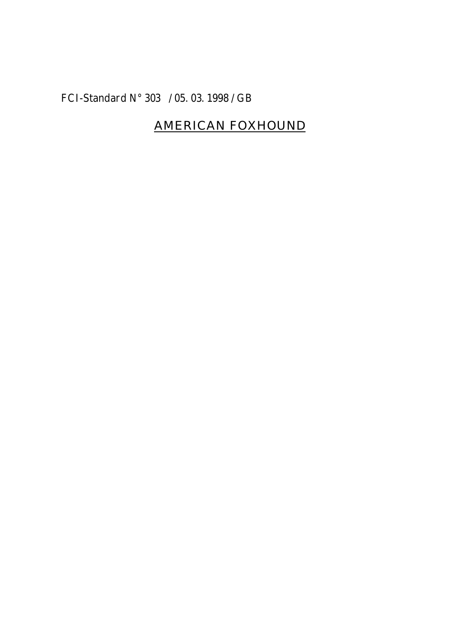## FCI-Standard N° 303 / 05. 03. 1998 / GB

# AMERICAN FOXHOUND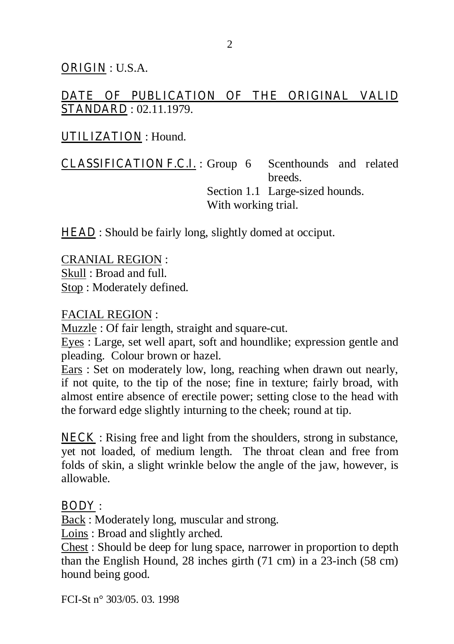ORIGIN : U.S.A.

## DATE OF PUBLICATION OF THE ORIGINAL VALID STANDARD : 02.11.1979.

### UTILIZATION : Hound.

CLASSIFICATION F.C.I. : Group 6 Scenthounds and related breeds. Section 1.1 Large-sized hounds. With working trial.

**HEAD** : Should be fairly long, slightly domed at occiput.

CRANIAL REGION : Skull : Broad and full. Stop : Moderately defined.

#### FACIAL REGION :

Muzzle : Of fair length, straight and square-cut.

Eyes : Large, set well apart, soft and houndlike; expression gentle and pleading. Colour brown or hazel.

Ears : Set on moderately low, long, reaching when drawn out nearly, if not quite, to the tip of the nose; fine in texture; fairly broad, with almost entire absence of erectile power; setting close to the head with the forward edge slightly inturning to the cheek; round at tip.

NECK : Rising free and light from the shoulders, strong in substance, yet not loaded, of medium length. The throat clean and free from folds of skin, a slight wrinkle below the angle of the jaw, however, is allowable.

### BODY :

Back : Moderately long, muscular and strong.

Loins : Broad and slightly arched.

Chest : Should be deep for lung space, narrower in proportion to depth than the English Hound, 28 inches girth (71 cm) in a 23-inch (58 cm) hound being good.

FCI-St n° 303/05. 03. 1998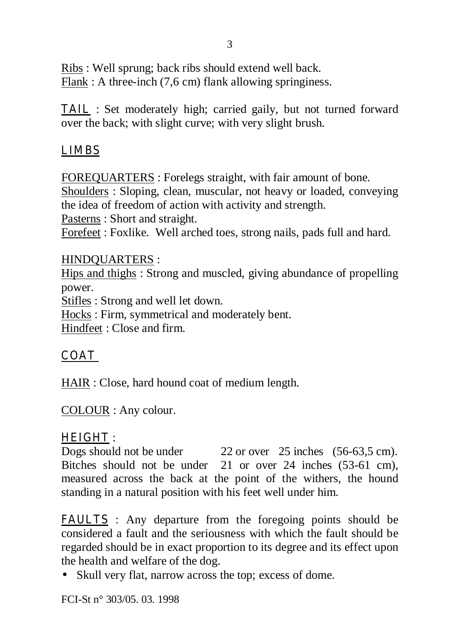Ribs : Well sprung; back ribs should extend well back. Flank : A three-inch (7,6 cm) flank allowing springiness.

TAIL : Set moderately high; carried gaily, but not turned forward over the back; with slight curve; with very slight brush.

## LIMBS

FOREQUARTERS : Forelegs straight, with fair amount of bone. Shoulders : Sloping, clean, muscular, not heavy or loaded, conveying the idea of freedom of action with activity and strength. Pasterns : Short and straight. Forefeet : Foxlike. Well arched toes, strong nails, pads full and hard.

### HINDQUARTERS :

Hips and thighs : Strong and muscled, giving abundance of propelling power.

Stifles : Strong and well let down.

Hocks : Firm, symmetrical and moderately bent.

Hindfeet : Close and firm.

## **COAT**

HAIR : Close, hard hound coat of medium length.

COLOUR : Any colour.

## HEIGHT :

Dogs should not be under 22 or over 25 inches (56-63,5 cm). Bitches should not be under 21 or over 24 inches (53-61 cm), measured across the back at the point of the withers, the hound standing in a natural position with his feet well under him.

FAULTS : Any departure from the foregoing points should be considered a fault and the seriousness with which the fault should be regarded should be in exact proportion to its degree and its effect upon the health and welfare of the dog.

• Skull very flat, narrow across the top; excess of dome.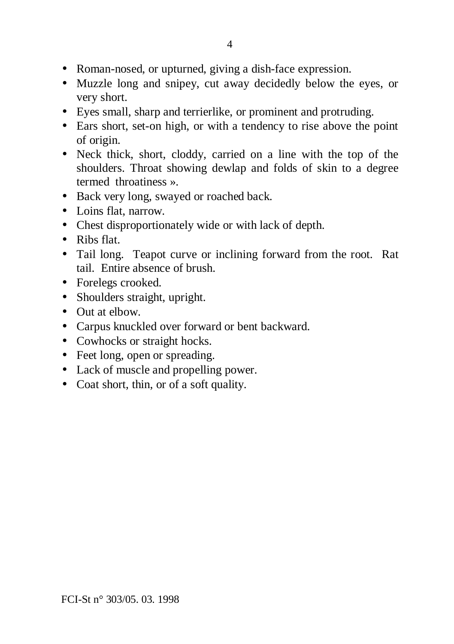- Roman-nosed, or upturned, giving a dish-face expression.
- Muzzle long and snipey, cut away decidedly below the eyes, or very short.
- Eyes small, sharp and terrierlike, or prominent and protruding.
- Ears short, set-on high, or with a tendency to rise above the point of origin.
- Neck thick, short, cloddy, carried on a line with the top of the shoulders. Throat showing dewlap and folds of skin to a degree termed throatiness ».
- Back very long, swayed or roached back.
- Loins flat, narrow.
- Chest disproportionately wide or with lack of depth.
- Ribs flat.
- Tail long. Teapot curve or inclining forward from the root. Rat tail. Entire absence of brush.
- Forelegs crooked.
- Shoulders straight, upright.
- Out at elbow.
- Carpus knuckled over forward or bent backward.
- Cowhocks or straight hocks.
- Feet long, open or spreading.
- Lack of muscle and propelling power.
- Coat short, thin, or of a soft quality.